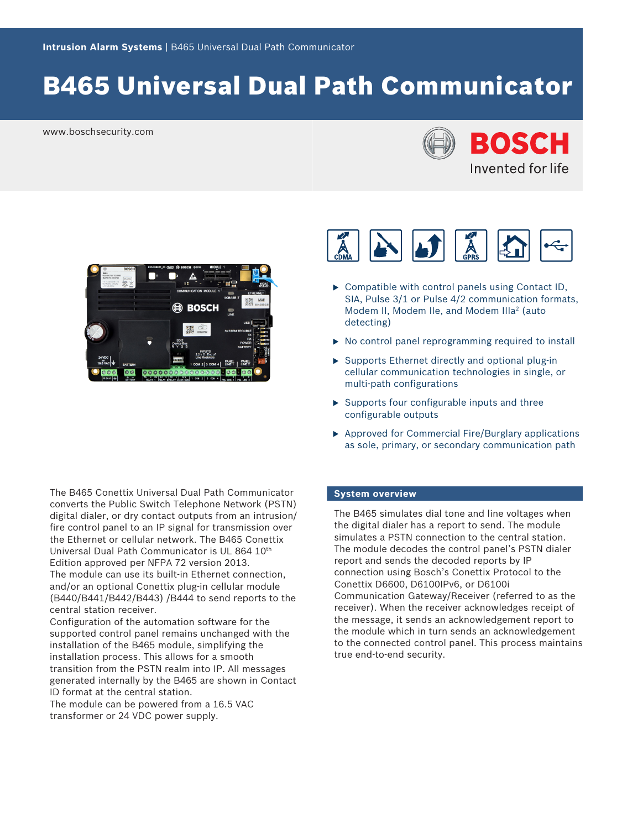# B465 Universal Dual Path Communicator

www.boschsecurity.com





The B465 Conettix Universal Dual Path Communicator converts the Public Switch Telephone Network (PSTN) digital dialer, or dry contact outputs from an intrusion/ fire control panel to an IP signal for transmission over the Ethernet or cellular network. The B465 Conettix Universal Dual Path Communicator is UL 864 10th Edition approved per NFPA 72 version 2013. The module can use its built-in Ethernet connection, and/or an optional Conettix plug-in cellular module (B440/B441/B442/B443) /B444 to send reports to the central station receiver.

Configuration of the automation software for the supported control panel remains unchanged with the installation of the B465 module, simplifying the installation process. This allows for a smooth transition from the PSTN realm into IP. All messages generated internally by the B465 are shown in Contact ID format at the central station.

The module can be powered from a 16.5 VAC transformer or 24 VDC power supply.



- $\triangleright$  Compatible with control panels using Contact ID, SIA, Pulse 3/1 or Pulse 4/2 communication formats, Modem II, Modem IIe, and Modem IIIa<sup>2</sup> (auto detecting)
- $\triangleright$  No control panel reprogramming required to install
- $\triangleright$  Supports Ethernet directly and optional plug-in cellular communication technologies in single, or multi-path configurations
- $\triangleright$  Supports four configurable inputs and three configurable outputs
- $\triangleright$  Approved for Commercial Fire/Burglary applications as sole, primary, or secondary communication path

#### **System overview**

The B465 simulates dial tone and line voltages when the digital dialer has a report to send. The module simulates a PSTN connection to the central station. The module decodes the control panel's PSTN dialer report and sends the decoded reports by IP connection using Bosch's Conettix Protocol to the Conettix D6600, D6100IPv6, or D6100i Communication Gateway/Receiver (referred to as the receiver). When the receiver acknowledges receipt of the message, it sends an acknowledgement report to the module which in turn sends an acknowledgement to the connected control panel. This process maintains true end-to-end security.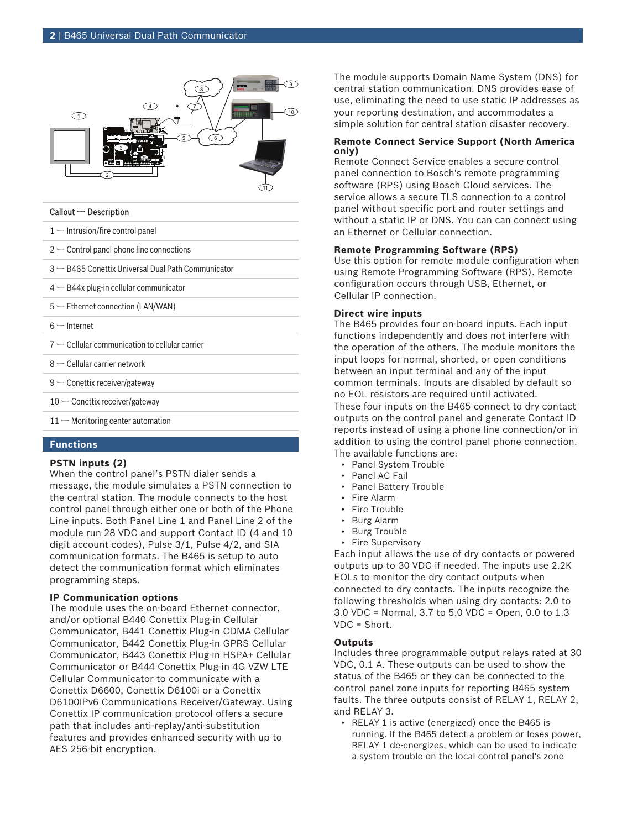

#### Callout ー Description

 $1 -$  Intrusion/fire control panel

- $2$  Control panel phone line connections
- 3 ー B465 Conettix Universal Dual Path Communicator
- 4 ー B44x plug-in cellular communicator
- 5 Ethernet connection (LAN/WAN)
- $6$  Internet
- $7 -$  Cellular communication to cellular carrier
- 8 ー Cellular carrier network
- 9 Conettix receiver/gateway
- $10$  Conettix receiver/gateway
- 11 Monitoring center automation

#### **Functions**

#### **PSTN inputs (2)**

When the control panel's PSTN dialer sends a message, the module simulates a PSTN connection to the central station. The module connects to the host control panel through either one or both of the Phone Line inputs. Both Panel Line 1 and Panel Line 2 of the module run 28 VDC and support Contact ID (4 and 10 digit account codes), Pulse 3/1, Pulse 4/2, and SIA communication formats. The B465 is setup to auto detect the communication format which eliminates programming steps.

#### **IP Communication options**

The module uses the on-board Ethernet connector, and/or optional B440 Conettix Plug-in Cellular Communicator, B441 Conettix Plug-in CDMA Cellular Communicator, B442 Conettix Plug-in GPRS Cellular Communicator, B443 Conettix Plug-in HSPA+ Cellular Communicator or B444 Conettix Plug-in 4G VZW LTE Cellular Communicator to communicate with a Conettix D6600, Conettix D6100i or a Conettix D6100IPv6 Communications Receiver/Gateway. Using Conettix IP communication protocol offers a secure path that includes anti-replay/anti-substitution features and provides enhanced security with up to AES 256-bit encryption.

The module supports Domain Name System (DNS) for central station communication. DNS provides ease of use, eliminating the need to use static IP addresses as your reporting destination, and accommodates a simple solution for central station disaster recovery.

#### **Remote Connect Service Support (North America only)**

Remote Connect Service enables a secure control panel connection to Bosch's remote programming software (RPS) using Bosch Cloud services. The service allows a secure TLS connection to a control panel without specific port and router settings and without a static IP or DNS. You can can connect using an Ethernet or Cellular connection.

#### **Remote Programming Software (RPS)**

Use this option for remote module configuration when using Remote Programming Software (RPS). Remote configuration occurs through USB, Ethernet, or Cellular IP connection.

#### **Direct wire inputs**

The B465 provides four on-board inputs. Each input functions independently and does not interfere with the operation of the others. The module monitors the input loops for normal, shorted, or open conditions between an input terminal and any of the input common terminals. Inputs are disabled by default so no EOL resistors are required until activated. These four inputs on the B465 connect to dry contact outputs on the control panel and generate Contact ID reports instead of using a phone line connection/or in addition to using the control panel phone connection. The available functions are:

- Panel System Trouble
- Panel AC Fail
- Panel Battery Trouble
- Fire Alarm
- Fire Trouble
- Burg Alarm
- Burg Trouble
- Fire Supervisory

Each input allows the use of dry contacts or powered outputs up to 30 VDC if needed. The inputs use 2.2K EOLs to monitor the dry contact outputs when connected to dry contacts. The inputs recognize the following thresholds when using dry contacts: 2.0 to 3.0 VDC = Normal, 3.7 to 5.0 VDC = Open, 0.0 to 1.3 VDC = Short.

#### **Outputs**

Includes three programmable output relays rated at 30 VDC, 0.1 A. These outputs can be used to show the status of the B465 or they can be connected to the control panel zone inputs for reporting B465 system faults. The three outputs consist of RELAY 1, RELAY 2, and RELAY 3.

• RELAY 1 is active (energized) once the B465 is running. If the B465 detect a problem or loses power, RELAY 1 de-energizes, which can be used to indicate a system trouble on the local control panel's zone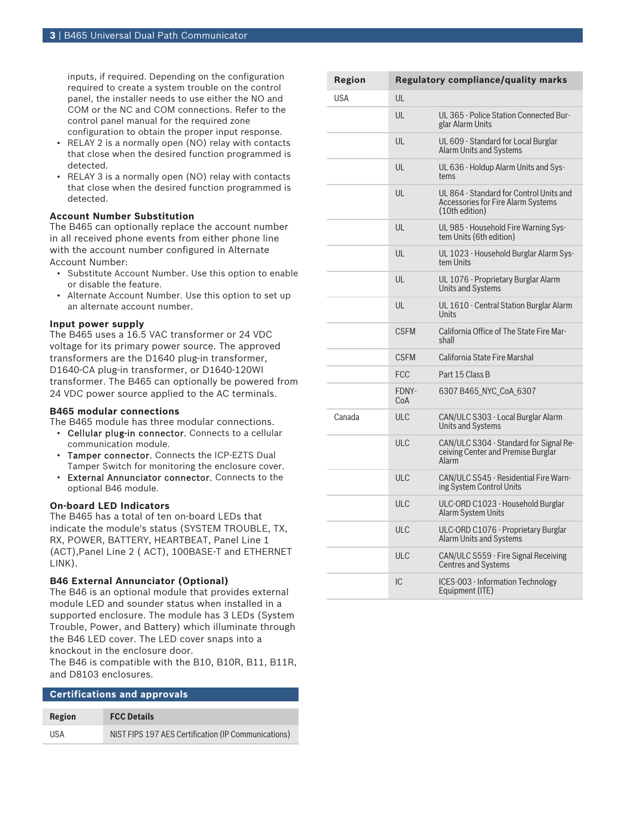inputs, if required. Depending on the configuration required to create a system trouble on the control panel, the installer needs to use either the NO and COM or the NC and COM connections. Refer to the control panel manual for the required zone configuration to obtain the proper input response.

- RELAY 2 is a normally open (NO) relay with contacts that close when the desired function programmed is detected.
- RELAY 3 is a normally open (NO) relay with contacts that close when the desired function programmed is detected.

#### **Account Number Substitution**

The B465 can optionally replace the account number in all received phone events from either phone line with the account number configured in Alternate Account Number:

- Substitute Account Number. Use this option to enable or disable the feature.
- Alternate Account Number. Use this option to set up an alternate account number.

#### **Input power supply**

The B465 uses a 16.5 VAC transformer or 24 VDC voltage for its primary power source. The approved transformers are the D1640 plug-in transformer, D1640-CA plug-in transformer, or D1640-120WI transformer. The B465 can optionally be powered from 24 VDC power source applied to the AC terminals.

#### **B465 modular connections**

The B465 module has three modular connections.

- Cellular plug-in connector. Connects to a cellular communication module.
- Tamper connector. Connects the ICP-EZTS Dual Tamper Switch for monitoring the enclosure cover.
- External Annunciator connector. Connects to the optional B46 module.

#### **On-board LED Indicators**

The B465 has a total of ten on-board LEDs that indicate the module's status (SYSTEM TROUBLE, TX, RX, POWER, BATTERY, HEARTBEAT, Panel Line 1 (ACT),Panel Line 2 ( ACT), 100BASE-T and ETHERNET LINK).

#### **B46 External Annunciator (Optional)**

The B46 is an optional module that provides external module LED and sounder status when installed in a supported enclosure. The module has 3 LEDs (System Trouble, Power, and Battery) which illuminate through the B46 LED cover. The LED cover snaps into a knockout in the enclosure door.

The B46 is compatible with the B10, B10R, B11, B11R, and D8103 enclosures.

| <b>Certifications and approvals</b> |                                                     |  |  |
|-------------------------------------|-----------------------------------------------------|--|--|
| Region                              | <b>FCC Details</b>                                  |  |  |
| <b>IISA</b>                         | NIST FIPS 197 AES Certification (IP Communications) |  |  |

| <b>Region</b> |              | <b>Regulatory compliance/quality marks</b>                                                             |
|---------------|--------------|--------------------------------------------------------------------------------------------------------|
| <b>USA</b>    | UL           |                                                                                                        |
|               | UL           | UL 365 - Police Station Connected Bur-<br>glar Alarm Units                                             |
|               | UL           | UL 609 - Standard for Local Burglar<br>Alarm Units and Systems                                         |
|               | UL           | UL 636 - Holdup Alarm Units and Sys-<br>tems                                                           |
|               | UL           | UL 864 - Standard for Control Units and<br><b>Accessories for Fire Alarm Systems</b><br>(10th edition) |
|               | UL           | UL 985 - Household Fire Warning Sys-<br>tem Units (6th edition)                                        |
|               | UL           | UL 1023 - Household Burglar Alarm Sys-<br>tem Units                                                    |
|               | UL           | UL 1076 - Proprietary Burglar Alarm<br><b>Units and Systems</b>                                        |
|               | UL           | UL 1610 - Central Station Burglar Alarm<br>Units                                                       |
|               | <b>CSFM</b>  | California Office of The State Fire Mar-<br>shall                                                      |
|               | <b>CSFM</b>  | California State Fire Marshal                                                                          |
|               | <b>FCC</b>   | Part 15 Class B                                                                                        |
|               | FDNY-<br>CoA | 6307 B465_NYC_CoA_6307                                                                                 |
| Canada        | <b>ULC</b>   | CAN/ULC S303 - Local Burglar Alarm<br><b>Units and Systems</b>                                         |
|               | ULC          | CAN/ULC S304 - Standard for Signal Re-<br>ceiving Center and Premise Burglar<br><b>Alarm</b>           |
|               | <b>ULC</b>   | CAN/ULC S545 - Residential Fire Warn-<br>ing System Control Units                                      |
|               | <b>ULC</b>   | ULC-ORD C1023 - Household Burglar<br><b>Alarm System Units</b>                                         |
|               | ULC          | ULC-ORD C1076 - Proprietary Burglar<br>Alarm Units and Systems                                         |
|               | <b>ULC</b>   | CAN/ULC S559 - Fire Signal Receiving<br>Centres and Systems                                            |
|               | IC           | ICES-003 - Information Technology<br>Equipment (ITE)                                                   |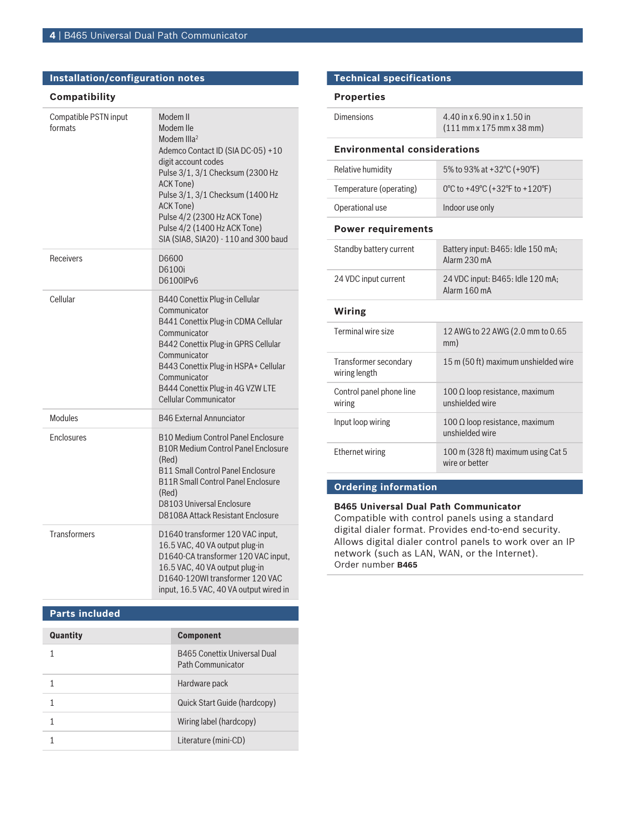#### **Installation/configuration notes**

#### **Compatibility**

| Compatible PSTN input<br>formats | Modem II<br>Modem Ile<br>Modem III $a2$<br>Ademco Contact ID (SIA DC-05) +10<br>digit account codes<br>Pulse 3/1, 3/1 Checksum (2300 Hz<br>ACK Tone)<br>Pulse 3/1, 3/1 Checksum (1400 Hz<br>ACK Tone)<br>Pulse 4/2 (2300 Hz ACK Tone)<br>Pulse 4/2 (1400 Hz ACK Tone)<br>SIA (SIA8, SIA20) - 110 and 300 baud |
|----------------------------------|---------------------------------------------------------------------------------------------------------------------------------------------------------------------------------------------------------------------------------------------------------------------------------------------------------------|
| Receivers                        | D6600<br>D6100i<br>D6100IPv6                                                                                                                                                                                                                                                                                  |
| Cellular                         | B440 Conettix Plug-in Cellular<br>Communicator<br>B441 Conettix Plug-in CDMA Cellular<br>Communicator<br>B442 Conettix Plug-in GPRS Cellular<br>Communicator<br>B443 Conettix Plug-in HSPA+ Cellular<br>Communicator<br>B444 Conettix Plug-in 4G VZW LTE<br><b>Cellular Communicator</b>                      |
| Modules                          | <b>B46 External Annunciator</b>                                                                                                                                                                                                                                                                               |
| Enclosures                       | <b>B10 Medium Control Panel Enclosure</b><br><b>B10R Medium Control Panel Enclosure</b><br>(Red)<br><b>B11 Small Control Panel Enclosure</b><br><b>B11R Small Control Panel Enclosure</b><br>(Red)<br><b>D8103 Universal Enclosure</b><br>D8108A Attack Resistant Enclosure                                   |
| <b>Transformers</b>              | D1640 transformer 120 VAC input,<br>16.5 VAC, 40 VA output plug-in<br>D1640-CA transformer 120 VAC input,<br>16.5 VAC, 40 VA output plug-in<br>D1640-120WI transformer 120 VAC<br>input, 16.5 VAC, 40 VA output wired in                                                                                      |

#### **Parts included**

| Quantity | <b>Component</b>                                         |
|----------|----------------------------------------------------------|
|          | <b>B465 Conettix Universal Dual</b><br>Path Communicator |
|          | Hardware pack                                            |
|          | Quick Start Guide (hardcopy)                             |
|          | Wiring label (hardcopy)                                  |
|          | Literature (mini-CD)                                     |

#### **Technical specifications**

#### **Properties**

| <b>Dimensions</b>                   | 4.40 in x 6.90 in x 1.50 in<br>$(111$ mm x 175 mm x 38 mm) |  |
|-------------------------------------|------------------------------------------------------------|--|
| <b>Environmental considerations</b> |                                                            |  |
| Relative humidity                   | 5% to 93% at +32°C (+90°F)                                 |  |
| Temperature (operating)             | 0°C to +49°C (+32°F to +120°F)                             |  |
| Operational use                     | Indoor use only                                            |  |

#### **Power requirements**

| Standby battery current                | Battery input: B465: Idle 150 mA;<br>Alarm 230 mA        |  |
|----------------------------------------|----------------------------------------------------------|--|
| 24 VDC input current                   | 24 VDC input: B465: Idle 120 mA;<br>Alarm 160 mA         |  |
| Wiring                                 |                                                          |  |
| Terminal wire size                     | 12 AWG to 22 AWG (2.0 mm to 0.65<br>mm)                  |  |
| Transformer secondary<br>wiring length | 15 m (50 ft) maximum unshielded wire                     |  |
| Control panel phone line<br>wiring     | 100 $\Omega$ loop resistance, maximum<br>unshielded wire |  |
| Input loop wiring                      | 100 $\Omega$ loop resistance, maximum<br>unshielded wire |  |
| Ethernet wiring                        | 100 m (328 ft) maximum using Cat 5<br>wire or better     |  |

#### **Ordering information**

#### **B465 Universal Dual Path Communicator**

Compatible with control panels using a standard digital dialer format. Provides end-to-end security. Allows digital dialer control panels to work over an IP network (such as LAN, WAN, or the Internet). Order number **B465**